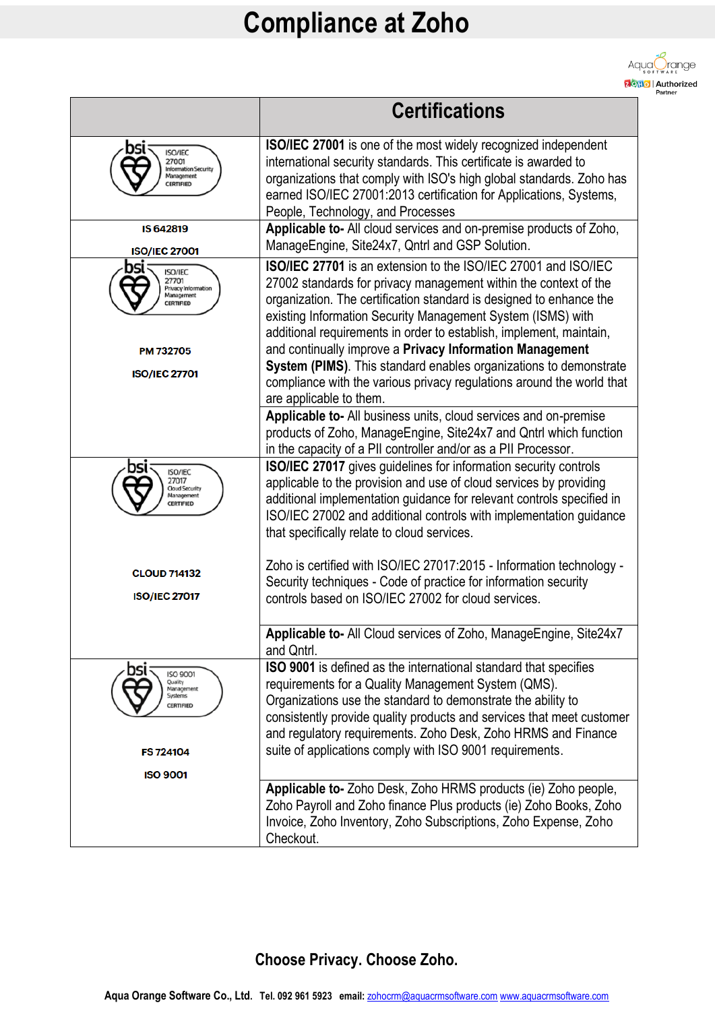

|                                                                                               | <b>Certifications</b>                                                                                                                                                                                                                                                                                                                                                                                              |
|-----------------------------------------------------------------------------------------------|--------------------------------------------------------------------------------------------------------------------------------------------------------------------------------------------------------------------------------------------------------------------------------------------------------------------------------------------------------------------------------------------------------------------|
| <b>ISO/IEC</b><br>27001<br><b>Information Security</b><br>Management<br>CERTIFIED             | <b>ISO/IEC 27001</b> is one of the most widely recognized independent<br>international security standards. This certificate is awarded to<br>organizations that comply with ISO's high global standards. Zoho has<br>earned ISO/IEC 27001:2013 certification for Applications, Systems,<br>People, Technology, and Processes                                                                                       |
| IS 642819<br><b>ISO/IEC 27001</b>                                                             | Applicable to- All cloud services and on-premise products of Zoho,<br>ManageEngine, Site24x7, Qntrl and GSP Solution.                                                                                                                                                                                                                                                                                              |
| DSl<br><b>ISO/IEC</b><br>27701<br>Privacy Information<br>Management<br>CERTIFIED<br>PM 732705 | <b>ISO/IEC 27701</b> is an extension to the ISO/IEC 27001 and ISO/IEC<br>27002 standards for privacy management within the context of the<br>organization. The certification standard is designed to enhance the<br>existing Information Security Management System (ISMS) with<br>additional requirements in order to establish, implement, maintain,<br>and continually improve a Privacy Information Management |
| <b>ISO/IEC 27701</b>                                                                          | System (PIMS). This standard enables organizations to demonstrate<br>compliance with the various privacy regulations around the world that<br>are applicable to them.                                                                                                                                                                                                                                              |
|                                                                                               | Applicable to- All business units, cloud services and on-premise<br>products of Zoho, ManageEngine, Site24x7 and Qntrl which function<br>in the capacity of a PII controller and/or as a PII Processor.                                                                                                                                                                                                            |
| DSI<br><b>ISO/IEC</b><br>27017<br>Cloud Security<br>Management<br>CERTIFIED                   | <b>ISO/IEC 27017</b> gives guidelines for information security controls<br>applicable to the provision and use of cloud services by providing<br>additional implementation guidance for relevant controls specified in<br>ISO/IEC 27002 and additional controls with implementation guidance<br>that specifically relate to cloud services.                                                                        |
| <b>CLOUD 714132</b>                                                                           | Zoho is certified with ISO/IEC 27017:2015 - Information technology -<br>Security techniques - Code of practice for information security                                                                                                                                                                                                                                                                            |
| <b>ISO/IEC 27017</b>                                                                          | controls based on ISO/IEC 27002 for cloud services.                                                                                                                                                                                                                                                                                                                                                                |
|                                                                                               | Applicable to- All Cloud services of Zoho, ManageEngine, Site24x7<br>and Qntrl.                                                                                                                                                                                                                                                                                                                                    |
| ורח<br>ISO 9001<br>Quality<br>Management<br>Systems<br><b>CERTIFIED</b>                       | ISO 9001 is defined as the international standard that specifies<br>requirements for a Quality Management System (QMS).<br>Organizations use the standard to demonstrate the ability to<br>consistently provide quality products and services that meet customer<br>and regulatory requirements. Zoho Desk, Zoho HRMS and Finance                                                                                  |
| FS 724104<br><b>ISO 9001</b>                                                                  | suite of applications comply with ISO 9001 requirements.                                                                                                                                                                                                                                                                                                                                                           |
|                                                                                               | Applicable to- Zoho Desk, Zoho HRMS products (ie) Zoho people,<br>Zoho Payroll and Zoho finance Plus products (ie) Zoho Books, Zoho<br>Invoice, Zoho Inventory, Zoho Subscriptions, Zoho Expense, Zoho<br>Checkout.                                                                                                                                                                                                |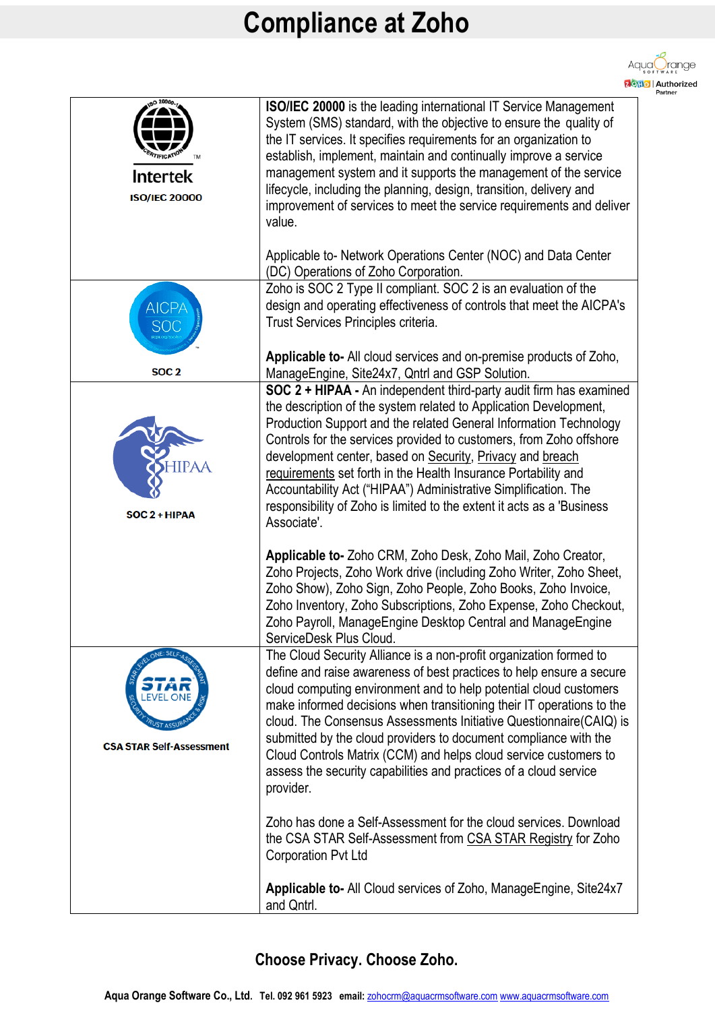

| <b>Intertek</b><br><b>ISO/IEC 20000</b>    | ISO/IEC 20000 is the leading international IT Service Management<br>System (SMS) standard, with the objective to ensure the quality of<br>the IT services. It specifies requirements for an organization to<br>establish, implement, maintain and continually improve a service<br>management system and it supports the management of the service<br>lifecycle, including the planning, design, transition, delivery and<br>improvement of services to meet the service requirements and deliver<br>value.                                                                              |
|--------------------------------------------|------------------------------------------------------------------------------------------------------------------------------------------------------------------------------------------------------------------------------------------------------------------------------------------------------------------------------------------------------------------------------------------------------------------------------------------------------------------------------------------------------------------------------------------------------------------------------------------|
|                                            | Applicable to- Network Operations Center (NOC) and Data Center<br>(DC) Operations of Zoho Corporation.                                                                                                                                                                                                                                                                                                                                                                                                                                                                                   |
| <b>AICPA</b><br><b>SOC</b>                 | Zoho is SOC 2 Type II compliant. SOC 2 is an evaluation of the<br>design and operating effectiveness of controls that meet the AICPA's<br>Trust Services Principles criteria.                                                                                                                                                                                                                                                                                                                                                                                                            |
| SOC <sub>2</sub>                           | Applicable to-All cloud services and on-premise products of Zoho,<br>ManageEngine, Site24x7, Qntrl and GSP Solution.                                                                                                                                                                                                                                                                                                                                                                                                                                                                     |
| <b>IIPAA</b><br>SOC 2 + HIPAA              | SOC 2 + HIPAA - An independent third-party audit firm has examined<br>the description of the system related to Application Development,<br>Production Support and the related General Information Technology<br>Controls for the services provided to customers, from Zoho offshore<br>development center, based on Security, Privacy and breach<br>requirements set forth in the Health Insurance Portability and<br>Accountability Act ("HIPAA") Administrative Simplification. The<br>responsibility of Zoho is limited to the extent it acts as a 'Business'<br>Associate'.          |
|                                            | Applicable to- Zoho CRM, Zoho Desk, Zoho Mail, Zoho Creator,<br>Zoho Projects, Zoho Work drive (including Zoho Writer, Zoho Sheet,<br>Zoho Show), Zoho Sign, Zoho People, Zoho Books, Zoho Invoice,<br>Zoho Inventory, Zoho Subscriptions, Zoho Expense, Zoho Checkout,<br>Zoho Payroll, ManageEngine Desktop Central and ManageEngine<br>ServiceDesk Plus Cloud.                                                                                                                                                                                                                        |
| ء SEL ا<br><b>CSA STAR Self-Assessment</b> | The Cloud Security Alliance is a non-profit organization formed to<br>define and raise awareness of best practices to help ensure a secure<br>cloud computing environment and to help potential cloud customers<br>make informed decisions when transitioning their IT operations to the<br>cloud. The Consensus Assessments Initiative Questionnaire(CAIQ) is<br>submitted by the cloud providers to document compliance with the<br>Cloud Controls Matrix (CCM) and helps cloud service customers to<br>assess the security capabilities and practices of a cloud service<br>provider. |
|                                            | Zoho has done a Self-Assessment for the cloud services. Download<br>the CSA STAR Self-Assessment from CSA STAR Registry for Zoho<br><b>Corporation Pvt Ltd</b>                                                                                                                                                                                                                                                                                                                                                                                                                           |
|                                            | Applicable to- All Cloud services of Zoho, Manage Engine, Site 24x7<br>and Qntrl.                                                                                                                                                                                                                                                                                                                                                                                                                                                                                                        |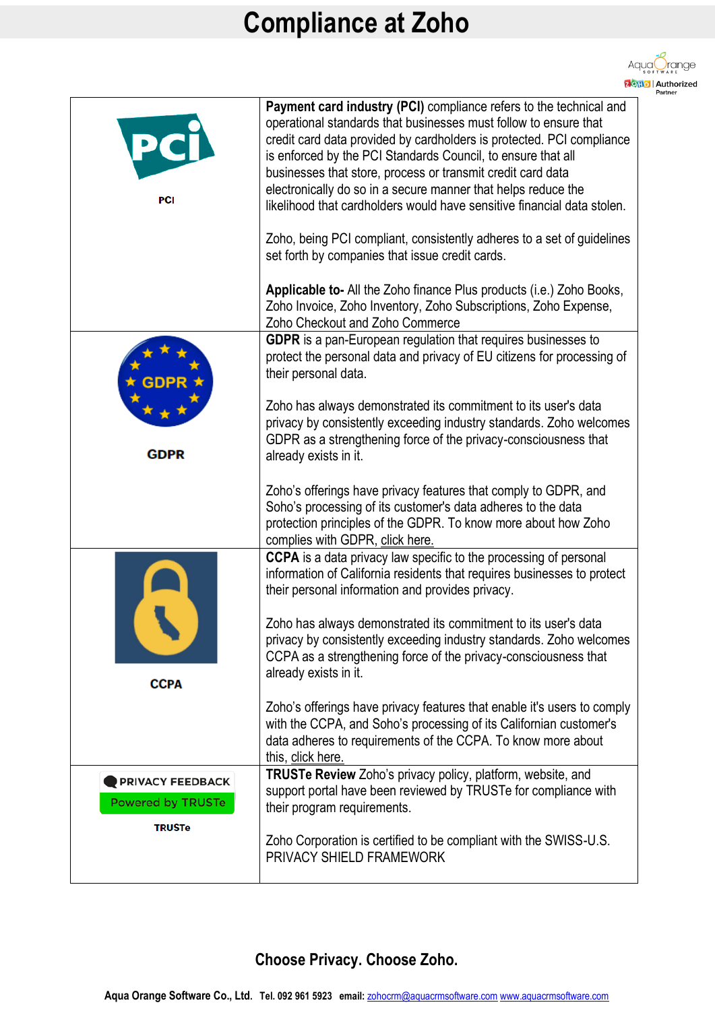

| PCI                                                 | Payment card industry (PCI) compliance refers to the technical and<br>operational standards that businesses must follow to ensure that<br>credit card data provided by cardholders is protected. PCI compliance<br>is enforced by the PCI Standards Council, to ensure that all<br>businesses that store, process or transmit credit card data<br>electronically do so in a secure manner that helps reduce the<br>likelihood that cardholders would have sensitive financial data stolen.<br>Zoho, being PCI compliant, consistently adheres to a set of guidelines<br>set forth by companies that issue credit cards. |
|-----------------------------------------------------|-------------------------------------------------------------------------------------------------------------------------------------------------------------------------------------------------------------------------------------------------------------------------------------------------------------------------------------------------------------------------------------------------------------------------------------------------------------------------------------------------------------------------------------------------------------------------------------------------------------------------|
|                                                     | Applicable to- All the Zoho finance Plus products (i.e.) Zoho Books,<br>Zoho Invoice, Zoho Inventory, Zoho Subscriptions, Zoho Expense,<br>Zoho Checkout and Zoho Commerce<br>GDPR is a pan-European regulation that requires businesses to<br>protect the personal data and privacy of EU citizens for processing of<br>their personal data.                                                                                                                                                                                                                                                                           |
| <b>GDPR</b>                                         | Zoho has always demonstrated its commitment to its user's data<br>privacy by consistently exceeding industry standards. Zoho welcomes<br>GDPR as a strengthening force of the privacy-consciousness that<br>already exists in it.<br>Zoho's offerings have privacy features that comply to GDPR, and                                                                                                                                                                                                                                                                                                                    |
|                                                     | Soho's processing of its customer's data adheres to the data<br>protection principles of the GDPR. To know more about how Zoho<br>complies with GDPR, click here.                                                                                                                                                                                                                                                                                                                                                                                                                                                       |
|                                                     | CCPA is a data privacy law specific to the processing of personal<br>information of California residents that requires businesses to protect<br>their personal information and provides privacy.                                                                                                                                                                                                                                                                                                                                                                                                                        |
| <b>CCPA</b>                                         | Zoho has always demonstrated its commitment to its user's data<br>privacy by consistently exceeding industry standards. Zoho welcomes<br>CCPA as a strengthening force of the privacy-consciousness that<br>already exists in it.                                                                                                                                                                                                                                                                                                                                                                                       |
|                                                     | Zoho's offerings have privacy features that enable it's users to comply<br>with the CCPA, and Soho's processing of its Californian customer's<br>data adheres to requirements of the CCPA. To know more about<br>this, click here.                                                                                                                                                                                                                                                                                                                                                                                      |
| <b>PRIVACY FEEDBACK</b><br><b>Powered by TRUSTe</b> | TRUSTe Review Zoho's privacy policy, platform, website, and<br>support portal have been reviewed by TRUSTe for compliance with<br>their program requirements.                                                                                                                                                                                                                                                                                                                                                                                                                                                           |
| <b>TRUSTe</b>                                       | Zoho Corporation is certified to be compliant with the SWISS-U.S.<br>PRIVACY SHIELD FRAMEWORK                                                                                                                                                                                                                                                                                                                                                                                                                                                                                                                           |